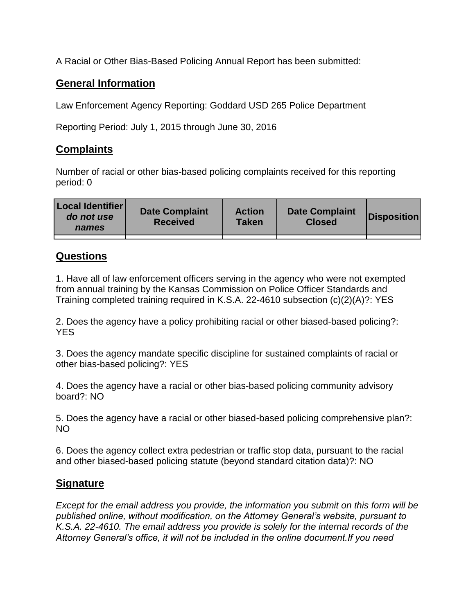A Racial or Other Bias-Based Policing Annual Report has been submitted:

## **General Information**

Law Enforcement Agency Reporting: Goddard USD 265 Police Department

Reporting Period: July 1, 2015 through June 30, 2016

## **Complaints**

Number of racial or other bias-based policing complaints received for this reporting period: 0

| <b>Local Identifier</b><br>do not use<br>names | <b>Date Complaint</b><br><b>Received</b> | <b>Action</b><br><b>Taken</b> | <b>Date Complaint</b><br><b>Closed</b> | Disposition |
|------------------------------------------------|------------------------------------------|-------------------------------|----------------------------------------|-------------|
|                                                |                                          |                               |                                        |             |

## **Questions**

1. Have all of law enforcement officers serving in the agency who were not exempted from annual training by the Kansas Commission on Police Officer Standards and Training completed training required in K.S.A. 22-4610 subsection (c)(2)(A)?: YES

2. Does the agency have a policy prohibiting racial or other biased-based policing?: YES

3. Does the agency mandate specific discipline for sustained complaints of racial or other bias-based policing?: YES

4. Does the agency have a racial or other bias-based policing community advisory board?: NO

5. Does the agency have a racial or other biased-based policing comprehensive plan?: NO

6. Does the agency collect extra pedestrian or traffic stop data, pursuant to the racial and other biased-based policing statute (beyond standard citation data)?: NO

## **Signature**

*Except for the email address you provide, the information you submit on this form will be published online, without modification, on the Attorney General's website, pursuant to K.S.A. 22-4610. The email address you provide is solely for the internal records of the Attorney General's office, it will not be included in the online document.If you need*